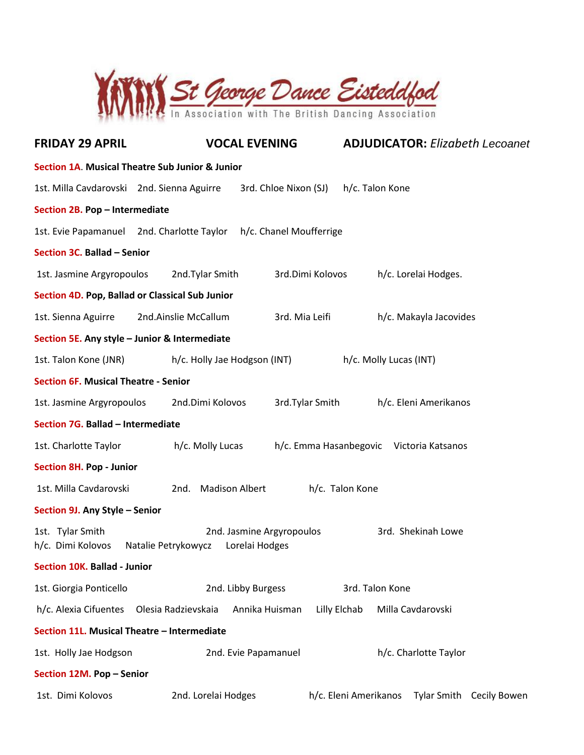

| <b>FRIDAY 29 APRIL</b>                                                |                                                 | <b>VOCAL EVENING</b>                        | <b>ADJUDICATOR: Elizabeth Lecoanet</b>            |  |  |  |  |  |
|-----------------------------------------------------------------------|-------------------------------------------------|---------------------------------------------|---------------------------------------------------|--|--|--|--|--|
| <b>Section 1A. Musical Theatre Sub Junior &amp; Junior</b>            |                                                 |                                             |                                                   |  |  |  |  |  |
| 1st. Milla Cavdarovski 2nd. Sienna Aguirre                            |                                                 | 3rd. Chloe Nixon (SJ)                       | h/c. Talon Kone                                   |  |  |  |  |  |
| Section 2B. Pop - Intermediate                                        |                                                 |                                             |                                                   |  |  |  |  |  |
| 1st. Evie Papamanuel 2nd. Charlotte Taylor<br>h/c. Chanel Moufferrige |                                                 |                                             |                                                   |  |  |  |  |  |
| Section 3C. Ballad - Senior                                           |                                                 |                                             |                                                   |  |  |  |  |  |
| 1st. Jasmine Argyropoulos                                             | 2nd.Tylar Smith                                 | 3rd.Dimi Kolovos                            | h/c. Lorelai Hodges.                              |  |  |  |  |  |
|                                                                       | Section 4D. Pop, Ballad or Classical Sub Junior |                                             |                                                   |  |  |  |  |  |
| 1st. Sienna Aguirre                                                   | 2nd.Ainslie McCallum                            | 3rd. Mia Leifi                              | h/c. Makayla Jacovides                            |  |  |  |  |  |
|                                                                       | Section 5E. Any style - Junior & Intermediate   |                                             |                                                   |  |  |  |  |  |
| 1st. Talon Kone (JNR)                                                 | h/c. Holly Jae Hodgson (INT)                    |                                             | h/c. Molly Lucas (INT)                            |  |  |  |  |  |
| <b>Section 6F. Musical Theatre - Senior</b>                           |                                                 |                                             |                                                   |  |  |  |  |  |
| 1st. Jasmine Argyropoulos                                             | 2nd.Dimi Kolovos                                | 3rd. Tylar Smith                            | h/c. Eleni Amerikanos                             |  |  |  |  |  |
| Section 7G. Ballad - Intermediate                                     |                                                 |                                             |                                                   |  |  |  |  |  |
| 1st. Charlotte Taylor                                                 | h/c. Molly Lucas                                |                                             | h/c. Emma Hasanbegovic Victoria Katsanos          |  |  |  |  |  |
| <b>Section 8H. Pop - Junior</b>                                       |                                                 |                                             |                                                   |  |  |  |  |  |
| 1st. Milla Cavdarovski                                                | <b>Madison Albert</b><br>2nd.                   |                                             | h/c. Talon Kone                                   |  |  |  |  |  |
| Section 9J. Any Style - Senior                                        |                                                 |                                             |                                                   |  |  |  |  |  |
| 1st. Tylar Smith<br>h/c. Dimi Kolovos                                 | Natalie Petrykowycz                             | 2nd. Jasmine Argyropoulos<br>Lorelai Hodges | 3rd. Shekinah Lowe                                |  |  |  |  |  |
| <b>Section 10K. Ballad - Junior</b>                                   |                                                 |                                             |                                                   |  |  |  |  |  |
| 1st. Giorgia Ponticello                                               |                                                 | 2nd. Libby Burgess                          | 3rd. Talon Kone                                   |  |  |  |  |  |
| h/c. Alexia Cifuentes                                                 | Olesia Radzievskaia                             | Annika Huisman                              | Lilly Elchab<br>Milla Cavdarovski                 |  |  |  |  |  |
| Section 11L. Musical Theatre - Intermediate                           |                                                 |                                             |                                                   |  |  |  |  |  |
| 1st. Holly Jae Hodgson                                                |                                                 | 2nd. Evie Papamanuel                        | h/c. Charlotte Taylor                             |  |  |  |  |  |
| Section 12M. Pop - Senior                                             |                                                 |                                             |                                                   |  |  |  |  |  |
| 1st. Dimi Kolovos                                                     | 2nd. Lorelai Hodges                             |                                             | h/c. Eleni Amerikanos<br>Tylar Smith Cecily Bowen |  |  |  |  |  |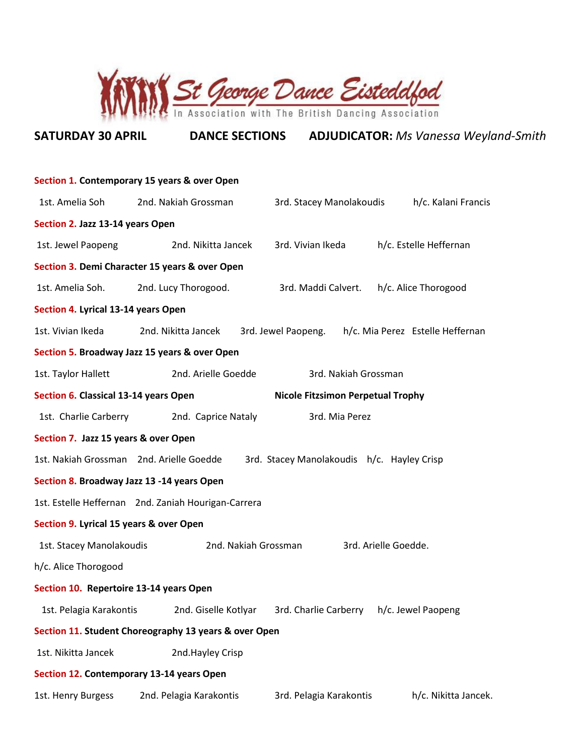

# **SATURDAY 30 APRIL DANCE SECTIONS ADJUDICATOR:** *Ms Vanessa Weyland-Smith*

|                                                       | Section 1. Contemporary 15 years & over Open                            |                                            |                                  |  |  |  |  |  |
|-------------------------------------------------------|-------------------------------------------------------------------------|--------------------------------------------|----------------------------------|--|--|--|--|--|
| 1st. Amelia Soh                                       | 2nd. Nakiah Grossman<br>h/c. Kalani Francis<br>3rd. Stacey Manolakoudis |                                            |                                  |  |  |  |  |  |
| Section 2. Jazz 13-14 years Open                      |                                                                         |                                            |                                  |  |  |  |  |  |
| 1st. Jewel Paopeng                                    | h/c. Estelle Heffernan<br>2nd. Nikitta Jancek<br>3rd. Vivian Ikeda      |                                            |                                  |  |  |  |  |  |
| Section 3. Demi Character 15 years & over Open        |                                                                         |                                            |                                  |  |  |  |  |  |
| 1st. Amelia Soh.                                      | 2nd. Lucy Thorogood.<br>3rd. Maddi Calvert.<br>h/c. Alice Thorogood     |                                            |                                  |  |  |  |  |  |
| Section 4. Lyrical 13-14 years Open                   |                                                                         |                                            |                                  |  |  |  |  |  |
| 1st. Vivian Ikeda                                     | 2nd. Nikitta Jancek                                                     | 3rd. Jewel Paopeng.                        | h/c. Mia Perez Estelle Heffernan |  |  |  |  |  |
|                                                       | Section 5. Broadway Jazz 15 years & over Open                           |                                            |                                  |  |  |  |  |  |
| 1st. Taylor Hallett                                   | 2nd. Arielle Goedde                                                     | 3rd. Nakiah Grossman                       |                                  |  |  |  |  |  |
| Section 6. Classical 13-14 years Open                 |                                                                         | <b>Nicole Fitzsimon Perpetual Trophy</b>   |                                  |  |  |  |  |  |
| 1st. Charlie Carberry                                 | 2nd. Caprice Nataly                                                     | 3rd. Mia Perez                             |                                  |  |  |  |  |  |
| Section 7. Jazz 15 years & over Open                  |                                                                         |                                            |                                  |  |  |  |  |  |
| 1st. Nakiah Grossman 2nd. Arielle Goedde              |                                                                         | 3rd. Stacey Manolakoudis h/c. Hayley Crisp |                                  |  |  |  |  |  |
| Section 8. Broadway Jazz 13 -14 years Open            |                                                                         |                                            |                                  |  |  |  |  |  |
|                                                       | 1st. Estelle Heffernan 2nd. Zaniah Hourigan-Carrera                     |                                            |                                  |  |  |  |  |  |
| Section 9. Lyrical 15 years & over Open               |                                                                         |                                            |                                  |  |  |  |  |  |
| 1st. Stacey Manolakoudis                              | 2nd. Nakiah Grossman                                                    |                                            | 3rd. Arielle Goedde.             |  |  |  |  |  |
| h/c. Alice Thorogood                                  |                                                                         |                                            |                                  |  |  |  |  |  |
| Section 10. Repertoire 13-14 years Open               |                                                                         |                                            |                                  |  |  |  |  |  |
| 1st. Pelagia Karakontis                               | 2nd. Giselle Kotlyar                                                    | 3rd. Charlie Carberry                      | h/c. Jewel Paopeng               |  |  |  |  |  |
| Section 11. Student Choreography 13 years & over Open |                                                                         |                                            |                                  |  |  |  |  |  |
| 1st. Nikitta Jancek                                   | 2nd.Hayley Crisp                                                        |                                            |                                  |  |  |  |  |  |
| Section 12. Contemporary 13-14 years Open             |                                                                         |                                            |                                  |  |  |  |  |  |
| 1st. Henry Burgess                                    | 2nd. Pelagia Karakontis                                                 | 3rd. Pelagia Karakontis                    | h/c. Nikitta Jancek.             |  |  |  |  |  |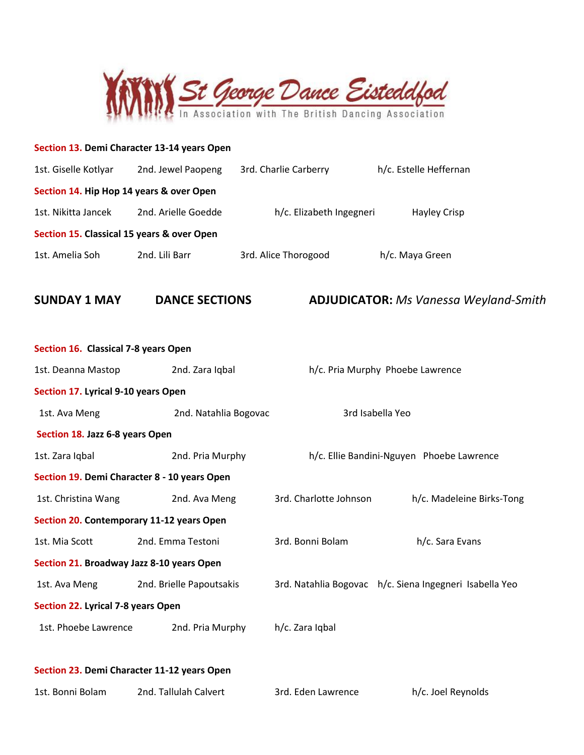

| Section 13. Demi Character 13-14 years Open  |                          |                          |                                                         |
|----------------------------------------------|--------------------------|--------------------------|---------------------------------------------------------|
| 1st. Giselle Kotlyar                         | 2nd. Jewel Paopeng       | 3rd. Charlie Carberry    | h/c. Estelle Heffernan                                  |
| Section 14. Hip Hop 14 years & over Open     |                          |                          |                                                         |
| 1st. Nikitta Jancek                          | 2nd. Arielle Goedde      | h/c. Elizabeth Ingegneri | Hayley Crisp                                            |
| Section 15. Classical 15 years & over Open   |                          |                          |                                                         |
| 1st. Amelia Soh                              | 2nd. Lili Barr           | 3rd. Alice Thorogood     | h/c. Maya Green                                         |
|                                              |                          |                          |                                                         |
| <b>SUNDAY 1 MAY</b>                          | <b>DANCE SECTIONS</b>    |                          | <b>ADJUDICATOR:</b> Ms Vanessa Weyland-Smith            |
|                                              |                          |                          |                                                         |
| Section 16. Classical 7-8 years Open         |                          |                          |                                                         |
| 1st. Deanna Mastop                           | 2nd. Zara Iqbal          |                          | h/c. Pria Murphy Phoebe Lawrence                        |
| Section 17. Lyrical 9-10 years Open          |                          |                          |                                                         |
| 1st. Ava Meng                                | 2nd. Natahlia Bogovac    |                          | 3rd Isabella Yeo                                        |
| Section 18. Jazz 6-8 years Open              |                          |                          |                                                         |
| 1st. Zara Iqbal                              | 2nd. Pria Murphy         |                          | h/c. Ellie Bandini-Nguyen Phoebe Lawrence               |
| Section 19. Demi Character 8 - 10 years Open |                          |                          |                                                         |
| 1st. Christina Wang                          | 2nd. Ava Meng            | 3rd. Charlotte Johnson   | h/c. Madeleine Birks-Tong                               |
| Section 20. Contemporary 11-12 years Open    |                          |                          |                                                         |
| 1st. Mia Scott                               | 2nd. Emma Testoni        | 3rd. Bonni Bolam         | h/c. Sara Evans                                         |
| Section 21. Broadway Jazz 8-10 years Open    |                          |                          |                                                         |
| 1st. Ava Meng                                | 2nd. Brielle Papoutsakis |                          | 3rd. Natahlia Bogovac h/c. Siena Ingegneri Isabella Yeo |
| Section 22. Lyrical 7-8 years Open           |                          |                          |                                                         |
| 1st. Phoebe Lawrence                         | 2nd. Pria Murphy         | h/c. Zara Iqbal          |                                                         |
|                                              |                          |                          |                                                         |
| Section 23. Demi Character 11-12 years Open  |                          |                          |                                                         |

| 2nd. Tallulah Calvert<br>1st. Bonni Bolam | 3rd. Eden Lawrence | h/c. Joel Reynolds |
|-------------------------------------------|--------------------|--------------------|
|-------------------------------------------|--------------------|--------------------|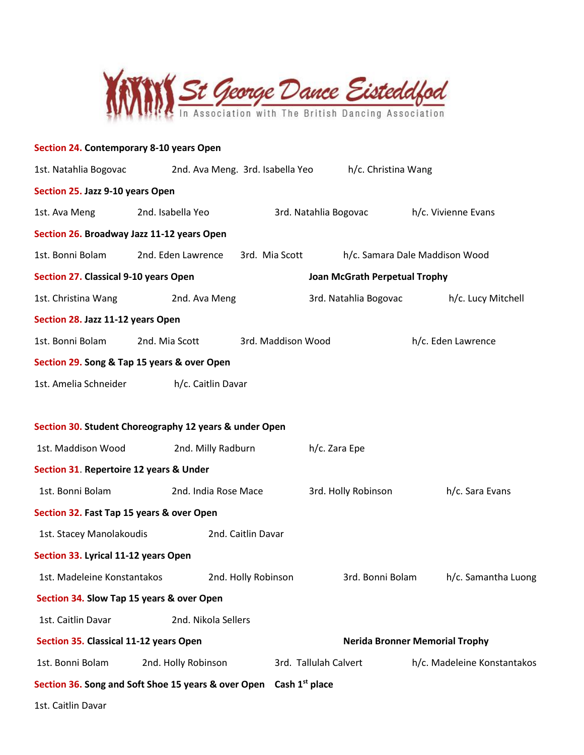

| Section 24. Contemporary 8-10 years Open                                       |                      |                                  |                               |                                       |                             |
|--------------------------------------------------------------------------------|----------------------|----------------------------------|-------------------------------|---------------------------------------|-----------------------------|
| 1st. Natahlia Bogovac                                                          |                      | 2nd. Ava Meng. 3rd. Isabella Yeo | h/c. Christina Wang           |                                       |                             |
| Section 25. Jazz 9-10 years Open                                               |                      |                                  |                               |                                       |                             |
| 1st. Ava Meng                                                                  | 2nd. Isabella Yeo    |                                  | 3rd. Natahlia Bogovac         | h/c. Vivienne Evans                   |                             |
| Section 26. Broadway Jazz 11-12 years Open                                     |                      |                                  |                               |                                       |                             |
| 1st. Bonni Bolam                                                               | 2nd. Eden Lawrence   | 3rd. Mia Scott                   |                               | h/c. Samara Dale Maddison Wood        |                             |
| Section 27. Classical 9-10 years Open                                          |                      |                                  | Joan McGrath Perpetual Trophy |                                       |                             |
| 1st. Christina Wang                                                            | 2nd. Ava Meng        |                                  | 3rd. Natahlia Bogovac         |                                       | h/c. Lucy Mitchell          |
| Section 28. Jazz 11-12 years Open                                              |                      |                                  |                               |                                       |                             |
| 1st. Bonni Bolam                                                               | 2nd. Mia Scott       | 3rd. Maddison Wood               |                               | h/c. Eden Lawrence                    |                             |
| Section 29. Song & Tap 15 years & over Open                                    |                      |                                  |                               |                                       |                             |
| 1st. Amelia Schneider                                                          | h/c. Caitlin Davar   |                                  |                               |                                       |                             |
|                                                                                |                      |                                  |                               |                                       |                             |
| Section 30. Student Choreography 12 years & under Open                         |                      |                                  |                               |                                       |                             |
| 1st. Maddison Wood                                                             | 2nd. Milly Radburn   |                                  | h/c. Zara Epe                 |                                       |                             |
| Section 31. Repertoire 12 years & Under                                        |                      |                                  |                               |                                       |                             |
| 1st. Bonni Bolam                                                               | 2nd. India Rose Mace |                                  | 3rd. Holly Robinson           |                                       | h/c. Sara Evans             |
| Section 32. Fast Tap 15 years & over Open                                      |                      |                                  |                               |                                       |                             |
| 1st. Stacey Manolakoudis                                                       |                      | 2nd. Caitlin Davar               |                               |                                       |                             |
| Section 33. Lyrical 11-12 years Open                                           |                      |                                  |                               |                                       |                             |
| 1st. Madeleine Konstantakos                                                    |                      | 2nd. Holly Robinson              | 3rd. Bonni Bolam              |                                       | h/c. Samantha Luong         |
| Section 34. Slow Tap 15 years & over Open                                      |                      |                                  |                               |                                       |                             |
| 1st. Caitlin Davar                                                             | 2nd. Nikola Sellers  |                                  |                               |                                       |                             |
| Section 35. Classical 11-12 years Open                                         |                      |                                  |                               | <b>Nerida Bronner Memorial Trophy</b> |                             |
| 1st. Bonni Bolam                                                               | 2nd. Holly Robinson  |                                  | 3rd. Tallulah Calvert         |                                       | h/c. Madeleine Konstantakos |
| Section 36. Song and Soft Shoe 15 years & over Open Cash 1 <sup>st</sup> place |                      |                                  |                               |                                       |                             |
| 1st. Caitlin Davar                                                             |                      |                                  |                               |                                       |                             |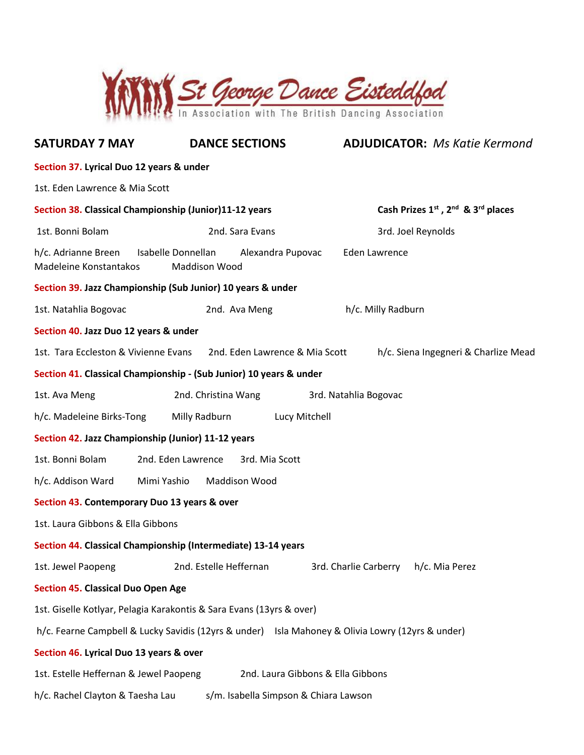

| <b>SATURDAY 7 MAY</b>                                                                            | <b>DANCE SECTIONS</b>                     | <b>ADJUDICATOR: Ms Katie Kermond</b>    |  |  |  |  |  |
|--------------------------------------------------------------------------------------------------|-------------------------------------------|-----------------------------------------|--|--|--|--|--|
| Section 37. Lyrical Duo 12 years & under                                                         |                                           |                                         |  |  |  |  |  |
| 1st. Eden Lawrence & Mia Scott                                                                   |                                           |                                         |  |  |  |  |  |
| Cash Prizes 1st, 2nd & 3rd places<br>Section 38. Classical Championship (Junior)11-12 years      |                                           |                                         |  |  |  |  |  |
| 1st. Bonni Bolam                                                                                 | 2nd. Sara Evans                           | 3rd. Joel Reynolds                      |  |  |  |  |  |
| Isabelle Donnellan<br>h/c. Adrianne Breen<br>Madeleine Konstantakos                              | Alexandra Pupovac<br><b>Maddison Wood</b> | Eden Lawrence                           |  |  |  |  |  |
| Section 39. Jazz Championship (Sub Junior) 10 years & under                                      |                                           |                                         |  |  |  |  |  |
| 1st. Natahlia Bogovac                                                                            | 2nd. Ava Meng                             | h/c. Milly Radburn                      |  |  |  |  |  |
| Section 40. Jazz Duo 12 years & under                                                            |                                           |                                         |  |  |  |  |  |
| 1st. Tara Eccleston & Vivienne Evans                                                             | 2nd. Eden Lawrence & Mia Scott            | h/c. Siena Ingegneri & Charlize Mead    |  |  |  |  |  |
| Section 41. Classical Championship - (Sub Junior) 10 years & under                               |                                           |                                         |  |  |  |  |  |
| 1st. Ava Meng                                                                                    | 2nd. Christina Wang                       | 3rd. Natahlia Bogovac                   |  |  |  |  |  |
| h/c. Madeleine Birks-Tong                                                                        | Milly Radburn<br>Lucy Mitchell            |                                         |  |  |  |  |  |
| Section 42. Jazz Championship (Junior) 11-12 years                                               |                                           |                                         |  |  |  |  |  |
| 1st. Bonni Bolam<br>2nd. Eden Lawrence                                                           | 3rd. Mia Scott                            |                                         |  |  |  |  |  |
| Mimi Yashio<br>h/c. Addison Ward                                                                 | <b>Maddison Wood</b>                      |                                         |  |  |  |  |  |
| Section 43. Contemporary Duo 13 years & over                                                     |                                           |                                         |  |  |  |  |  |
| 1st. Laura Gibbons & Ella Gibbons                                                                |                                           |                                         |  |  |  |  |  |
| Section 44. Classical Championship (Intermediate) 13-14 years                                    |                                           |                                         |  |  |  |  |  |
| 1st. Jewel Paopeng                                                                               | 2nd. Estelle Heffernan                    | 3rd. Charlie Carberry<br>h/c. Mia Perez |  |  |  |  |  |
| <b>Section 45. Classical Duo Open Age</b>                                                        |                                           |                                         |  |  |  |  |  |
| 1st. Giselle Kotlyar, Pelagia Karakontis & Sara Evans (13yrs & over)                             |                                           |                                         |  |  |  |  |  |
| h/c. Fearne Campbell & Lucky Savidis (12yrs & under) Isla Mahoney & Olivia Lowry (12yrs & under) |                                           |                                         |  |  |  |  |  |
| Section 46. Lyrical Duo 13 years & over                                                          |                                           |                                         |  |  |  |  |  |
| 2nd. Laura Gibbons & Ella Gibbons<br>1st. Estelle Heffernan & Jewel Paopeng                      |                                           |                                         |  |  |  |  |  |
| h/c. Rachel Clayton & Taesha Lau<br>s/m. Isabella Simpson & Chiara Lawson                        |                                           |                                         |  |  |  |  |  |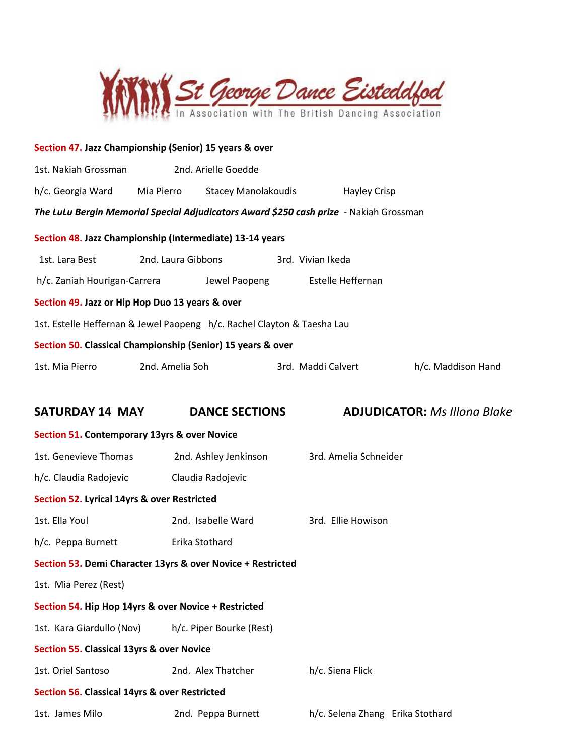

| Section 47. Jazz Championship (Senior) 15 years & over                                 |                                                                    |                       |  |                                  |                                     |  |
|----------------------------------------------------------------------------------------|--------------------------------------------------------------------|-----------------------|--|----------------------------------|-------------------------------------|--|
| 2nd. Arielle Goedde<br>1st. Nakiah Grossman                                            |                                                                    |                       |  |                                  |                                     |  |
| h/c. Georgia Ward<br>Mia Pierro<br><b>Stacey Manolakoudis</b><br><b>Hayley Crisp</b>   |                                                                    |                       |  |                                  |                                     |  |
| The LuLu Bergin Memorial Special Adjudicators Award \$250 cash prize - Nakiah Grossman |                                                                    |                       |  |                                  |                                     |  |
| Section 48. Jazz Championship (Intermediate) 13-14 years                               |                                                                    |                       |  |                                  |                                     |  |
| 1st. Lara Best                                                                         | 2nd. Laura Gibbons                                                 |                       |  | 3rd. Vivian Ikeda                |                                     |  |
|                                                                                        | Estelle Heffernan<br>h/c. Zaniah Hourigan-Carrera<br>Jewel Paopeng |                       |  |                                  |                                     |  |
| Section 49. Jazz or Hip Hop Duo 13 years & over                                        |                                                                    |                       |  |                                  |                                     |  |
| 1st. Estelle Heffernan & Jewel Paopeng h/c. Rachel Clayton & Taesha Lau                |                                                                    |                       |  |                                  |                                     |  |
| Section 50. Classical Championship (Senior) 15 years & over                            |                                                                    |                       |  |                                  |                                     |  |
| 1st. Mia Pierro                                                                        | 2nd. Amelia Soh                                                    |                       |  | 3rd. Maddi Calvert               | h/c. Maddison Hand                  |  |
|                                                                                        |                                                                    |                       |  |                                  |                                     |  |
| <b>SATURDAY 14 MAY</b>                                                                 |                                                                    | <b>DANCE SECTIONS</b> |  |                                  | <b>ADJUDICATOR: Ms Illong Blake</b> |  |
| Section 51. Contemporary 13yrs & over Novice                                           |                                                                    |                       |  |                                  |                                     |  |
| 1st. Genevieve Thomas                                                                  |                                                                    | 2nd. Ashley Jenkinson |  | 3rd. Amelia Schneider            |                                     |  |
| h/c. Claudia Radojevic                                                                 |                                                                    | Claudia Radojevic     |  |                                  |                                     |  |
| Section 52. Lyrical 14yrs & over Restricted                                            |                                                                    |                       |  |                                  |                                     |  |
| 1st. Ella Youl                                                                         |                                                                    | 2nd. Isabelle Ward    |  | 3rd. Ellie Howison               |                                     |  |
| h/c. Peppa Burnett                                                                     |                                                                    | Erika Stothard        |  |                                  |                                     |  |
| Section 53. Demi Character 13yrs & over Novice + Restricted                            |                                                                    |                       |  |                                  |                                     |  |
| 1st. Mia Perez (Rest)                                                                  |                                                                    |                       |  |                                  |                                     |  |
| Section 54. Hip Hop 14yrs & over Novice + Restricted                                   |                                                                    |                       |  |                                  |                                     |  |
| 1st. Kara Giardullo (Nov)<br>h/c. Piper Bourke (Rest)                                  |                                                                    |                       |  |                                  |                                     |  |
| <b>Section 55. Classical 13yrs &amp; over Novice</b>                                   |                                                                    |                       |  |                                  |                                     |  |
| 1st. Oriel Santoso                                                                     | 2nd. Alex Thatcher<br>h/c. Siena Flick                             |                       |  |                                  |                                     |  |
| Section 56. Classical 14yrs & over Restricted                                          |                                                                    |                       |  |                                  |                                     |  |
| 1st. James Milo                                                                        |                                                                    | 2nd. Peppa Burnett    |  | h/c. Selena Zhang Erika Stothard |                                     |  |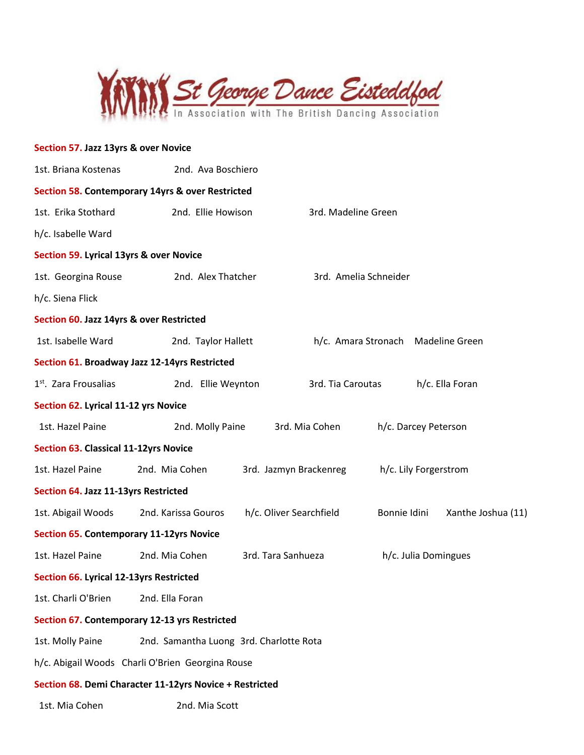

## **Section 57. Jazz 13yrs & over Novice**

| 1st. Briana Kostenas                            | 2nd. Ava Boschiero                                      |                    |                         |                      |                       |                       |
|-------------------------------------------------|---------------------------------------------------------|--------------------|-------------------------|----------------------|-----------------------|-----------------------|
|                                                 | Section 58. Contemporary 14yrs & over Restricted        |                    |                         |                      |                       |                       |
| 1st. Erika Stothard                             | 2nd. Ellie Howison                                      |                    | 3rd. Madeline Green     |                      |                       |                       |
| h/c. Isabelle Ward                              |                                                         |                    |                         |                      |                       |                       |
| Section 59. Lyrical 13yrs & over Novice         |                                                         |                    |                         |                      |                       |                       |
| 1st. Georgina Rouse                             | 2nd. Alex Thatcher                                      |                    | 3rd. Amelia Schneider   |                      |                       |                       |
| h/c. Siena Flick                                |                                                         |                    |                         |                      |                       |                       |
| Section 60. Jazz 14yrs & over Restricted        |                                                         |                    |                         |                      |                       |                       |
| 1st. Isabelle Ward                              | 2nd. Taylor Hallett                                     |                    | h/c. Amara Stronach     |                      |                       | <b>Madeline Green</b> |
|                                                 | Section 61. Broadway Jazz 12-14yrs Restricted           |                    |                         |                      |                       |                       |
| 1 <sup>st</sup> . Zara Frousalias               | 2nd. Ellie Weynton                                      |                    | 3rd. Tia Caroutas       |                      |                       | h/c. Ella Foran       |
| Section 62. Lyrical 11-12 yrs Novice            |                                                         |                    |                         |                      |                       |                       |
| 1st. Hazel Paine                                | 2nd. Molly Paine                                        |                    | 3rd. Mia Cohen          | h/c. Darcey Peterson |                       |                       |
| <b>Section 63. Classical 11-12yrs Novice</b>    |                                                         |                    |                         |                      |                       |                       |
| 1st. Hazel Paine                                | 2nd. Mia Cohen                                          |                    | 3rd. Jazmyn Brackenreg  |                      | h/c. Lily Forgerstrom |                       |
| Section 64. Jazz 11-13yrs Restricted            |                                                         |                    |                         |                      |                       |                       |
| 1st. Abigail Woods                              | 2nd. Karissa Gouros                                     |                    | h/c. Oliver Searchfield | Bonnie Idini         |                       | Xanthe Joshua (11)    |
| <b>Section 65. Contemporary 11-12yrs Novice</b> |                                                         |                    |                         |                      |                       |                       |
| 1st. Hazel Paine                                | 2nd. Mia Cohen                                          | 3rd. Tara Sanhueza |                         |                      | h/c. Julia Domingues  |                       |
| Section 66. Lyrical 12-13yrs Restricted         |                                                         |                    |                         |                      |                       |                       |
| 1st. Charli O'Brien                             | 2nd. Ella Foran                                         |                    |                         |                      |                       |                       |
|                                                 | Section 67. Contemporary 12-13 yrs Restricted           |                    |                         |                      |                       |                       |
| 1st. Molly Paine                                | 2nd. Samantha Luong 3rd. Charlotte Rota                 |                    |                         |                      |                       |                       |
|                                                 | h/c. Abigail Woods Charli O'Brien Georgina Rouse        |                    |                         |                      |                       |                       |
|                                                 | Section 68. Demi Character 11-12yrs Novice + Restricted |                    |                         |                      |                       |                       |
| 1st. Mia Cohen                                  | 2nd. Mia Scott                                          |                    |                         |                      |                       |                       |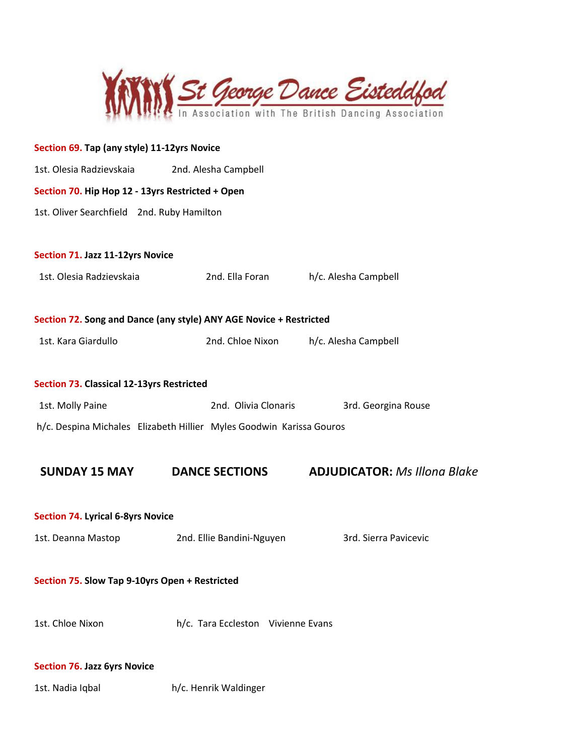

| Section 69. Tap (any style) 11-12yrs Novice      |                                                                      |                                     |  |  |  |  |  |  |
|--------------------------------------------------|----------------------------------------------------------------------|-------------------------------------|--|--|--|--|--|--|
| 1st. Olesia Radzievskaia                         | 2nd. Alesha Campbell                                                 |                                     |  |  |  |  |  |  |
| Section 70. Hip Hop 12 - 13yrs Restricted + Open |                                                                      |                                     |  |  |  |  |  |  |
| 1st. Oliver Searchfield 2nd. Ruby Hamilton       |                                                                      |                                     |  |  |  |  |  |  |
|                                                  |                                                                      |                                     |  |  |  |  |  |  |
| Section 71. Jazz 11-12yrs Novice                 |                                                                      |                                     |  |  |  |  |  |  |
| 1st. Olesia Radzievskaia                         | 2nd. Ella Foran                                                      | h/c. Alesha Campbell                |  |  |  |  |  |  |
|                                                  |                                                                      |                                     |  |  |  |  |  |  |
|                                                  | Section 72. Song and Dance (any style) ANY AGE Novice + Restricted   |                                     |  |  |  |  |  |  |
| 1st. Kara Giardullo                              | 2nd. Chloe Nixon                                                     | h/c. Alesha Campbell                |  |  |  |  |  |  |
|                                                  |                                                                      |                                     |  |  |  |  |  |  |
| Section 73. Classical 12-13yrs Restricted        |                                                                      |                                     |  |  |  |  |  |  |
| 1st. Molly Paine                                 | 2nd. Olivia Clonaris                                                 | 3rd. Georgina Rouse                 |  |  |  |  |  |  |
|                                                  | h/c. Despina Michales Elizabeth Hillier Myles Goodwin Karissa Gouros |                                     |  |  |  |  |  |  |
|                                                  |                                                                      |                                     |  |  |  |  |  |  |
| <b>SUNDAY 15 MAY</b>                             | <b>DANCE SECTIONS</b>                                                | <b>ADJUDICATOR: Ms Illona Blake</b> |  |  |  |  |  |  |
|                                                  |                                                                      |                                     |  |  |  |  |  |  |
| <b>Section 74. Lyrical 6-8yrs Novice</b>         |                                                                      |                                     |  |  |  |  |  |  |
| 1st. Deanna Mastop                               | 2nd. Ellie Bandini-Nguyen                                            | 3rd. Sierra Pavicevic               |  |  |  |  |  |  |
|                                                  |                                                                      |                                     |  |  |  |  |  |  |
| Section 75. Slow Tap 9-10yrs Open + Restricted   |                                                                      |                                     |  |  |  |  |  |  |
| 1st. Chloe Nixon                                 | h/c. Tara Eccleston Vivienne Evans                                   |                                     |  |  |  |  |  |  |
|                                                  |                                                                      |                                     |  |  |  |  |  |  |
| <b>Section 76. Jazz 6yrs Novice</b>              |                                                                      |                                     |  |  |  |  |  |  |
| 1st. Nadia Iqbal                                 | h/c. Henrik Waldinger                                                |                                     |  |  |  |  |  |  |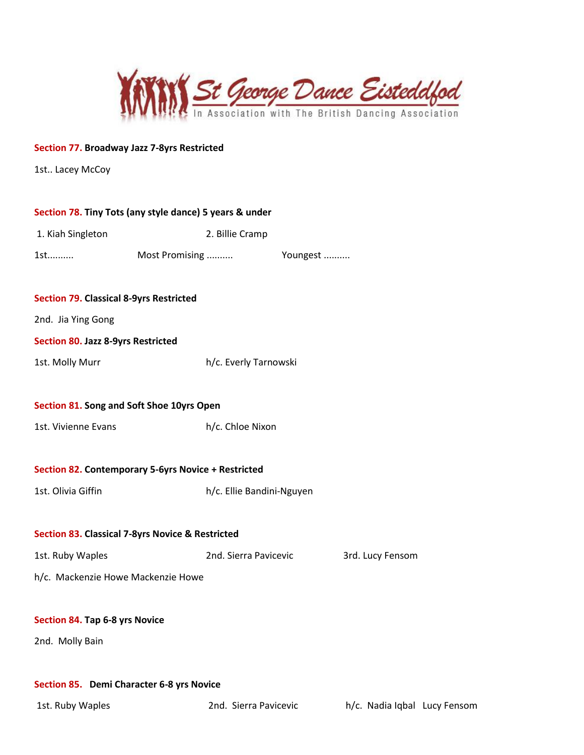

## **Section 77. Broadway Jazz 7-8yrs Restricted**

1st.. Lacey McCoy

|                                                | Section 78. Tiny Tots (any style dance) 5 years & under     |                           |                  |
|------------------------------------------------|-------------------------------------------------------------|---------------------------|------------------|
| 1. Kiah Singleton                              | 2. Billie Cramp                                             |                           |                  |
| 1st                                            | Most Promising                                              | Youngest                  |                  |
|                                                |                                                             |                           |                  |
| <b>Section 79. Classical 8-9yrs Restricted</b> |                                                             |                           |                  |
| 2nd. Jia Ying Gong                             |                                                             |                           |                  |
| <b>Section 80. Jazz 8-9yrs Restricted</b>      |                                                             |                           |                  |
| 1st. Molly Murr                                | h/c. Everly Tarnowski                                       |                           |                  |
|                                                |                                                             |                           |                  |
| Section 81. Song and Soft Shoe 10yrs Open      |                                                             |                           |                  |
| 1st. Vivienne Evans                            | h/c. Chloe Nixon                                            |                           |                  |
|                                                |                                                             |                           |                  |
|                                                | Section 82. Contemporary 5-6yrs Novice + Restricted         |                           |                  |
| 1st. Olivia Giffin                             |                                                             | h/c. Ellie Bandini-Nguyen |                  |
|                                                |                                                             |                           |                  |
|                                                | <b>Section 83. Classical 7-8yrs Novice &amp; Restricted</b> |                           |                  |
| 1st. Ruby Waples                               | 2nd. Sierra Pavicevic                                       |                           | 3rd. Lucy Fensom |
| h/c. Mackenzie Howe Mackenzie Howe             |                                                             |                           |                  |
|                                                |                                                             |                           |                  |
| Section 84. Tap 6-8 yrs Novice                 |                                                             |                           |                  |
| 2nd. Molly Bain                                |                                                             |                           |                  |
|                                                |                                                             |                           |                  |
| Section 85. Demi Character 6-8 yrs Novice      |                                                             |                           |                  |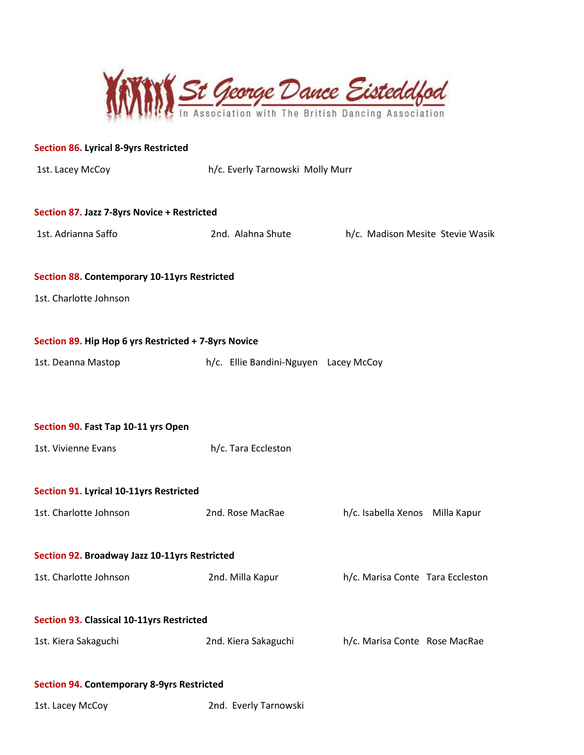

| <b>Section 86. Lyrical 8-9yrs Restricted</b>         |                                       |                                  |
|------------------------------------------------------|---------------------------------------|----------------------------------|
| 1st. Lacey McCoy                                     | h/c. Everly Tarnowski Molly Murr      |                                  |
| Section 87. Jazz 7-8yrs Novice + Restricted          |                                       |                                  |
| 1st. Adrianna Saffo                                  | 2nd. Alahna Shute                     | h/c. Madison Mesite Stevie Wasik |
| Section 88. Contemporary 10-11yrs Restricted         |                                       |                                  |
| 1st. Charlotte Johnson                               |                                       |                                  |
| Section 89. Hip Hop 6 yrs Restricted + 7-8yrs Novice |                                       |                                  |
| 1st. Deanna Mastop                                   | h/c. Ellie Bandini-Nguyen Lacey McCoy |                                  |
|                                                      |                                       |                                  |
| Section 90. Fast Tap 10-11 yrs Open                  |                                       |                                  |
| 1st. Vivienne Evans                                  | h/c. Tara Eccleston                   |                                  |
| Section 91. Lyrical 10-11yrs Restricted              |                                       |                                  |
| 1st. Charlotte Johnson                               | 2nd. Rose MacRae                      | h/c. Isabella Xenos Milla Kapur  |
| Section 92. Broadway Jazz 10-11yrs Restricted        |                                       |                                  |
| 1st. Charlotte Johnson                               | 2nd. Milla Kapur                      | h/c. Marisa Conte Tara Eccleston |
| Section 93. Classical 10-11yrs Restricted            |                                       |                                  |
| 1st. Kiera Sakaguchi                                 | 2nd. Kiera Sakaguchi                  | h/c. Marisa Conte Rose MacRae    |
| <b>Section 94. Contemporary 8-9yrs Restricted</b>    |                                       |                                  |

1st. Lacey McCoy 2nd. Everly Tarnowski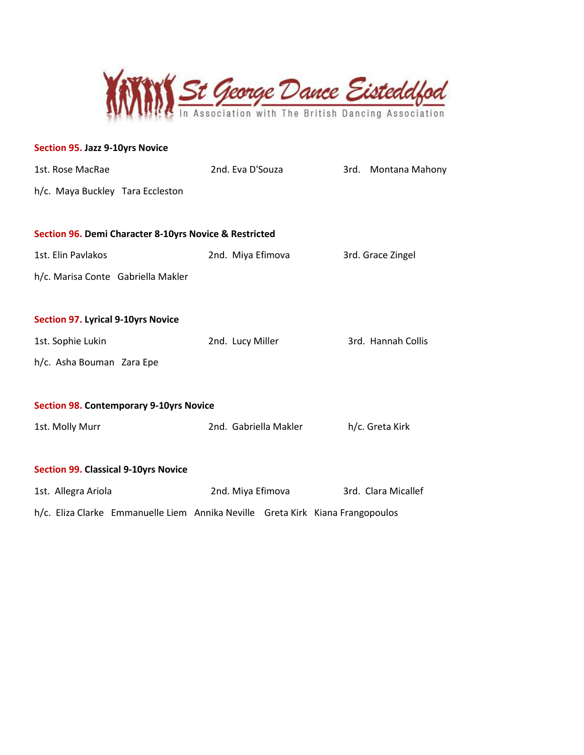

| <b>Section 95. Jazz 9-10yrs Novice</b>    |                                                        |                       |                                                                                |
|-------------------------------------------|--------------------------------------------------------|-----------------------|--------------------------------------------------------------------------------|
| 1st. Rose MacRae                          |                                                        | 2nd. Eva D'Souza      | 3rd. Montana Mahony                                                            |
|                                           | h/c. Maya Buckley Tara Eccleston                       |                       |                                                                                |
|                                           | Section 96. Demi Character 8-10yrs Novice & Restricted |                       |                                                                                |
| 1st. Elin Pavlakos                        |                                                        | 2nd. Miya Efimova     | 3rd. Grace Zingel                                                              |
|                                           | h/c. Marisa Conte Gabriella Makler                     |                       |                                                                                |
| <b>Section 97. Lyrical 9-10yrs Novice</b> |                                                        |                       |                                                                                |
| 1st. Sophie Lukin                         |                                                        | 2nd. Lucy Miller      | 3rd. Hannah Collis                                                             |
| h/c. Asha Bouman Zara Epe                 |                                                        |                       |                                                                                |
|                                           | <b>Section 98. Contemporary 9-10yrs Novice</b>         |                       |                                                                                |
| 1st. Molly Murr                           |                                                        | 2nd. Gabriella Makler | h/c. Greta Kirk                                                                |
|                                           | <b>Section 99. Classical 9-10yrs Novice</b>            |                       |                                                                                |
| 1st. Allegra Ariola                       |                                                        | 2nd. Miya Efimova     | 3rd. Clara Micallef                                                            |
|                                           |                                                        |                       | h/c. Eliza Clarke Emmanuelle Liem Annika Neville Greta Kirk Kiana Frangopoulos |